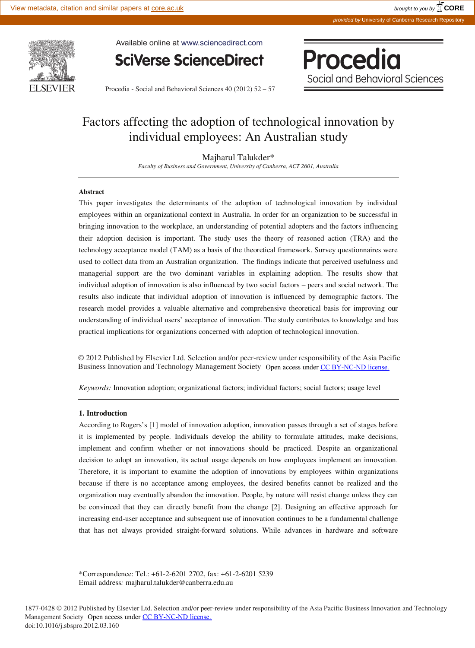

Available online at www.sciencedirect.com





Procedia - Social and Behavioral Sciences 40 (2012)  $52 - 57$ 

# Factors affecting the adoption of technological innovation by individual employees: An Australian study

Majharul Talukder\*

*Faculty of Business and Government, University of Canberra, ACT 2601, Australia* 

#### **Abstract**

This paper investigates the determinants of the adoption of technological innovation by individual employees within an organizational context in Australia. In order for an organization to be successful in bringing innovation to the workplace, an understanding of potential adopters and the factors influencing their adoption decision is important. The study uses the theory of reasoned action (TRA) and the technology acceptance model (TAM) as a basis of the theoretical framework. Survey questionnaires were used to collect data from an Australian organization. The findings indicate that perceived usefulness and managerial support are the two dominant variables in explaining adoption. The results show that individual adoption of innovation is also influenced by two social factors – peers and social network. The results also indicate that individual adoption of innovation is influenced by demographic factors. The research model provides a valuable alternative and comprehensive theoretical basis for improving our understanding of individual users' acceptance of innovation. The study contributes to knowledge and has practical implications for organizations concerned with adoption of technological innovation.

© 2011 Published by Elsevier Ltd. Selection and/or peer-review under responsibility of the Asia Pacific © 2012 Published by Elsevier Ltd. Selection and/or peer-review under responsibility of the Asia Pacific Business Innovation and Technology Management Society Open access under [CC BY-NC-ND license.](http://creativecommons.org/licenses/by-nc-nd/3.0/)

*Keywords:* Innovation adoption; organizational factors; individual factors; social factors; usage level

### **1. Introduction**

According to Rogers's [1] model of innovation adoption, innovation passes through a set of stages before it is implemented by people. Individuals develop the ability to formulate attitudes, make decisions, implement and confirm whether or not innovations should be practiced. Despite an organizational decision to adopt an innovation, its actual usage depends on how employees implement an innovation. Therefore, it is important to examine the adoption of innovations by employees within organizations because if there is no acceptance among employees, the desired benefits cannot be realized and the organization may eventually abandon the innovation. People, by nature will resist change unless they can be convinced that they can directly benefit from the change [2]. Designing an effective approach for increasing end-user acceptance and subsequent use of innovation continues to be a fundamental challenge that has not always provided straight-forward solutions. While advances in hardware and software

\*Correspondence: Tel.: +61-2-6201 2702, fax: +61-2-6201 5239 Email address*:* majharul.talukder@canberra.edu.au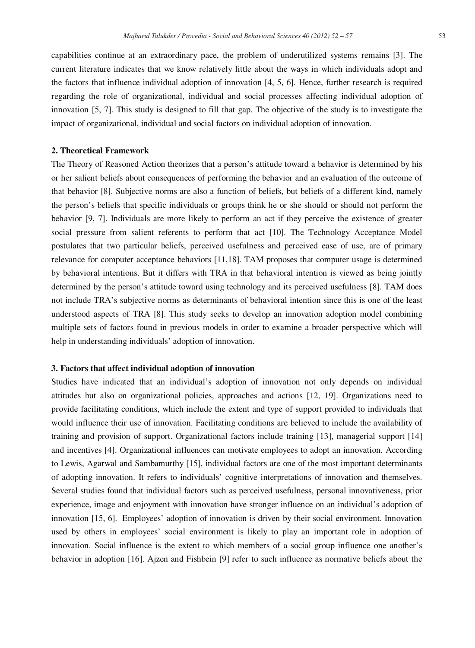capabilities continue at an extraordinary pace, the problem of underutilized systems remains [3]. The current literature indicates that we know relatively little about the ways in which individuals adopt and the factors that influence individual adoption of innovation [4, 5, 6]. Hence, further research is required regarding the role of organizational, individual and social processes affecting individual adoption of innovation [5, 7]. This study is designed to fill that gap. The objective of the study is to investigate the impact of organizational, individual and social factors on individual adoption of innovation.

# **2. Theoretical Framework**

The Theory of Reasoned Action theorizes that a person's attitude toward a behavior is determined by his or her salient beliefs about consequences of performing the behavior and an evaluation of the outcome of that behavior [8]. Subjective norms are also a function of beliefs, but beliefs of a different kind, namely the person's beliefs that specific individuals or groups think he or she should or should not perform the behavior [9, 7]. Individuals are more likely to perform an act if they perceive the existence of greater social pressure from salient referents to perform that act [10]. The Technology Acceptance Model postulates that two particular beliefs, perceived usefulness and perceived ease of use, are of primary relevance for computer acceptance behaviors [11,18]. TAM proposes that computer usage is determined by behavioral intentions. But it differs with TRA in that behavioral intention is viewed as being jointly determined by the person's attitude toward using technology and its perceived usefulness [8]. TAM does not include TRA's subjective norms as determinants of behavioral intention since this is one of the least understood aspects of TRA [8]. This study seeks to develop an innovation adoption model combining multiple sets of factors found in previous models in order to examine a broader perspective which will help in understanding individuals' adoption of innovation.

### **3. Factors that affect individual adoption of innovation**

Studies have indicated that an individual's adoption of innovation not only depends on individual attitudes but also on organizational policies, approaches and actions [12, 19]. Organizations need to provide facilitating conditions, which include the extent and type of support provided to individuals that would influence their use of innovation. Facilitating conditions are believed to include the availability of training and provision of support. Organizational factors include training [13], managerial support [14] and incentives [4]. Organizational influences can motivate employees to adopt an innovation. According to Lewis, Agarwal and Sambamurthy [15], individual factors are one of the most important determinants of adopting innovation. It refers to individuals' cognitive interpretations of innovation and themselves. Several studies found that individual factors such as perceived usefulness, personal innovativeness, prior experience, image and enjoyment with innovation have stronger influence on an individual's adoption of innovation [15, 6]. Employees' adoption of innovation is driven by their social environment. Innovation used by others in employees' social environment is likely to play an important role in adoption of innovation. Social influence is the extent to which members of a social group influence one another's behavior in adoption [16]. Ajzen and Fishbein [9] refer to such influence as normative beliefs about the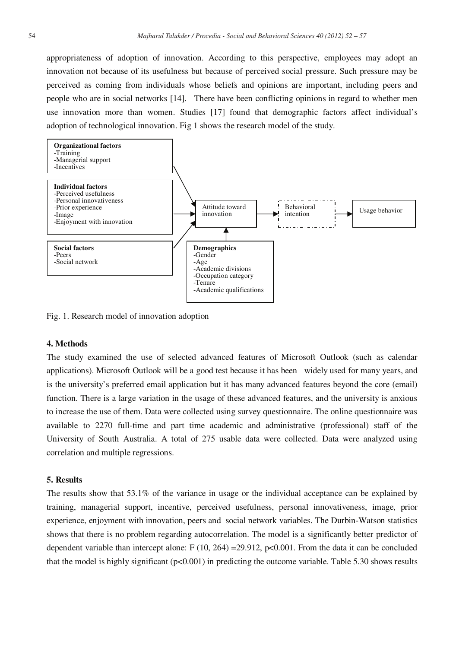appropriateness of adoption of innovation. According to this perspective, employees may adopt an innovation not because of its usefulness but because of perceived social pressure. Such pressure may be perceived as coming from individuals whose beliefs and opinions are important, including peers and people who are in social networks [14]. There have been conflicting opinions in regard to whether men use innovation more than women. Studies [17] found that demographic factors affect individual's adoption of technological innovation. Fig 1 shows the research model of the study.



Fig. 1. Research model of innovation adoption

#### **4. Methods**

The study examined the use of selected advanced features of Microsoft Outlook (such as calendar applications). Microsoft Outlook will be a good test because it has been widely used for many years, and is the university's preferred email application but it has many advanced features beyond the core (email) function. There is a large variation in the usage of these advanced features, and the university is anxious to increase the use of them. Data were collected using survey questionnaire. The online questionnaire was available to 2270 full-time and part time academic and administrative (professional) staff of the University of South Australia. A total of 275 usable data were collected. Data were analyzed using correlation and multiple regressions.

# **5. Results**

The results show that 53.1% of the variance in usage or the individual acceptance can be explained by training, managerial support, incentive, perceived usefulness, personal innovativeness, image, prior experience, enjoyment with innovation, peers and social network variables. The Durbin-Watson statistics shows that there is no problem regarding autocorrelation. The model is a significantly better predictor of dependent variable than intercept alone: F (10, 264) = 29.912, p<0.001. From the data it can be concluded that the model is highly significant  $(p<0.001)$  in predicting the outcome variable. Table 5.30 shows results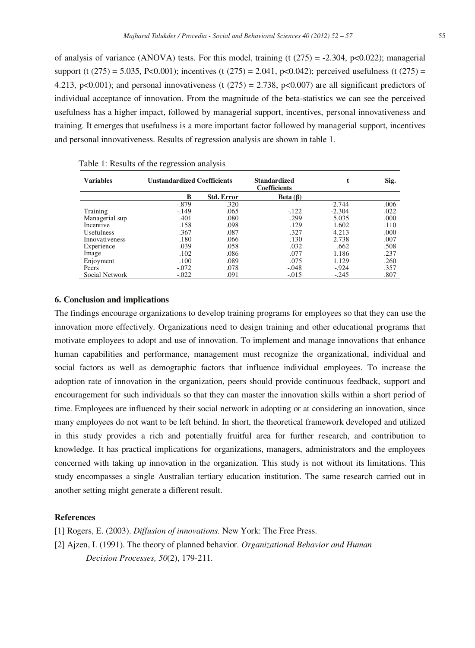of analysis of variance (ANOVA) tests. For this model, training (t  $(275) = -2.304$ , p<0.022); managerial support (t (275) = 5.035, P<0.001); incentives (t (275) = 2.041, p<0.042); perceived usefulness (t (275) = 4.213, p<0.001); and personal innovativeness (t  $(275) = 2.738$ , p<0.007) are all significant predictors of individual acceptance of innovation. From the magnitude of the beta-statistics we can see the perceived usefulness has a higher impact, followed by managerial support, incentives, personal innovativeness and training. It emerges that usefulness is a more important factor followed by managerial support, incentives and personal innovativeness. Results of regression analysis are shown in table 1.

| <b>Variables</b>      | <b>Unstandardized Coefficients</b> |                   | <b>Standardized</b><br><b>Coefficients</b> |          | Sig. |
|-----------------------|------------------------------------|-------------------|--------------------------------------------|----------|------|
|                       | B                                  | <b>Std. Error</b> | Beta $(\beta)$                             |          |      |
|                       | $-879$                             | .320              |                                            | $-2.744$ | .006 |
| Training              | $-149$                             | .065              | $-122$                                     | $-2.304$ | .022 |
| Managerial sup        | .401                               | .080              | .299                                       | 5.035    | .000 |
| Incentive             | .158                               | .098              | .129                                       | 1.602    | .110 |
| <b>Usefulness</b>     | .367                               | .087              | .327                                       | 4.213    | .000 |
| <b>Innovativeness</b> | .180                               | .066              | .130                                       | 2.738    | .007 |
| Experience            | .039                               | .058              | .032                                       | .662     | .508 |
| Image                 | .102                               | .086              | .077                                       | 1.186    | .237 |
| Enjoyment             | .100                               | .089              | .075                                       | 1.129    | .260 |
| Peers                 | $-.072$                            | .078              | $-.048$                                    | $-924$   | .357 |
| Social Network        | $-0.022$                           | .091              | $-0.015$                                   | $-.245$  | .807 |

| Table 1: Results of the regression analysis |  |  |
|---------------------------------------------|--|--|
|---------------------------------------------|--|--|

# **6. Conclusion and implications**

The findings encourage organizations to develop training programs for employees so that they can use the innovation more effectively. Organizations need to design training and other educational programs that motivate employees to adopt and use of innovation. To implement and manage innovations that enhance human capabilities and performance, management must recognize the organizational, individual and social factors as well as demographic factors that influence individual employees. To increase the adoption rate of innovation in the organization, peers should provide continuous feedback, support and encouragement for such individuals so that they can master the innovation skills within a short period of time. Employees are influenced by their social network in adopting or at considering an innovation, since many employees do not want to be left behind. In short, the theoretical framework developed and utilized in this study provides a rich and potentially fruitful area for further research, and contribution to knowledge. It has practical implications for organizations, managers, administrators and the employees concerned with taking up innovation in the organization. This study is not without its limitations. This study encompasses a single Australian tertiary education institution. The same research carried out in another setting might generate a different result.

#### **References**

[1] Rogers, E. (2003). *Diffusion of innovations*. New York: The Free Press. [2] Ajzen, I. (1991). The theory of planned behavior. *Organizational Behavior and Human Decision Processes, 50*(2), 179-211.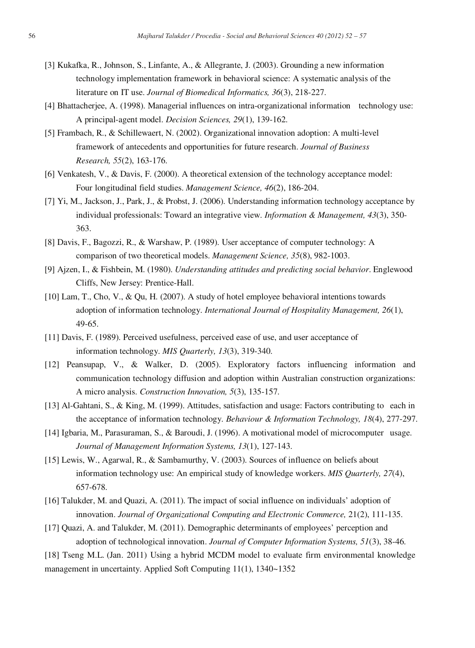- [3] Kukafka, R., Johnson, S., Linfante, A., & Allegrante, J. (2003). Grounding a new information technology implementation framework in behavioral science: A systematic analysis of the literature on IT use. *Journal of Biomedical Informatics, 36*(3), 218-227.
- [4] Bhattacherjee, A. (1998). Managerial influences on intra-organizational information technology use: A principal-agent model. *Decision Sciences, 29*(1), 139-162.
- [5] Frambach, R., & Schillewaert, N. (2002). Organizational innovation adoption: A multi-level framework of antecedents and opportunities for future research. *Journal of Business Research, 55*(2), 163-176.
- [6] Venkatesh, V., & Davis, F. (2000). A theoretical extension of the technology acceptance model: Four longitudinal field studies. *Management Science, 46*(2), 186-204.
- [7] Yi, M., Jackson, J., Park, J., & Probst, J. (2006). Understanding information technology acceptance by individual professionals: Toward an integrative view. *Information & Management, 43*(3), 350- 363.
- [8] Davis, F., Bagozzi, R., & Warshaw, P. (1989). User acceptance of computer technology: A comparison of two theoretical models. *Management Science, 35*(8), 982-1003.
- [9] Ajzen, I., & Fishbein, M. (1980). *Understanding attitudes and predicting social behavior*. Englewood Cliffs, New Jersey: Prentice-Hall.
- [10] Lam, T., Cho, V., & Qu, H. (2007). A study of hotel employee behavioral intentions towards adoption of information technology. *International Journal of Hospitality Management, 26*(1), 49-65.
- [11] Davis, F. (1989). Perceived usefulness, perceived ease of use, and user acceptance of information technology. *MIS Quarterly, 13*(3), 319-340.
- [12] Peansupap, V., & Walker, D. (2005). Exploratory factors influencing information and communication technology diffusion and adoption within Australian construction organizations: A micro analysis. *Construction Innovation, 5*(3), 135-157.
- [13] Al-Gahtani, S., & King, M. (1999). Attitudes, satisfaction and usage: Factors contributing to each in the acceptance of information technology. *Behaviour & Information Technology, 18*(4), 277-297.
- [14] Igbaria, M., Parasuraman, S., & Baroudi, J. (1996). A motivational model of microcomputer usage. *Journal of Management Information Systems, 13*(1), 127-143.
- [15] Lewis, W., Agarwal, R., & Sambamurthy, V. (2003). Sources of influence on beliefs about information technology use: An empirical study of knowledge workers. *MIS Quarterly, 27*(4), 657-678.
- [16] Talukder, M. and Quazi, A. (2011). The impact of social influence on individuals' adoption of innovation. *Journal of Organizational Computing and Electronic Commerce,* 21(2), 111-135.
- [17] Quazi, A. and Talukder, M. (2011). Demographic determinants of employees' perception and adoption of technological innovation. *Journal of Computer Information Systems, 51*(3), 38-46.

[18] Tseng M.L. (Jan. 2011) Using a hybrid MCDM model to evaluate firm environmental knowledge management in uncertainty. Applied Soft Computing 11(1), 1340~1352